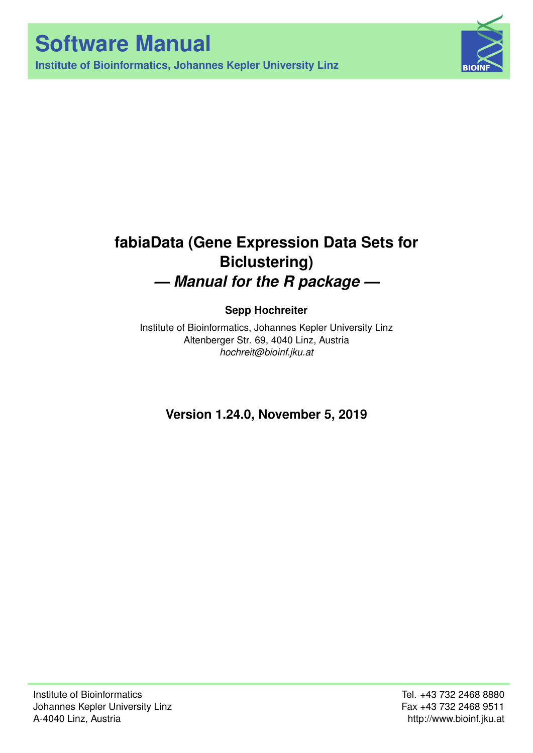



# **fabiaData (Gene Expression Data Sets for Biclustering)** *— Manual for the R package —*

# **Sepp Hochreiter**

Institute of Bioinformatics, Johannes Kepler University Linz Altenberger Str. 69, 4040 Linz, Austria *[hochreit@bioinf.jku.at](mailto:hochreit@bioinf.jku.at)*

**Version 1.24.0, November 5, 2019**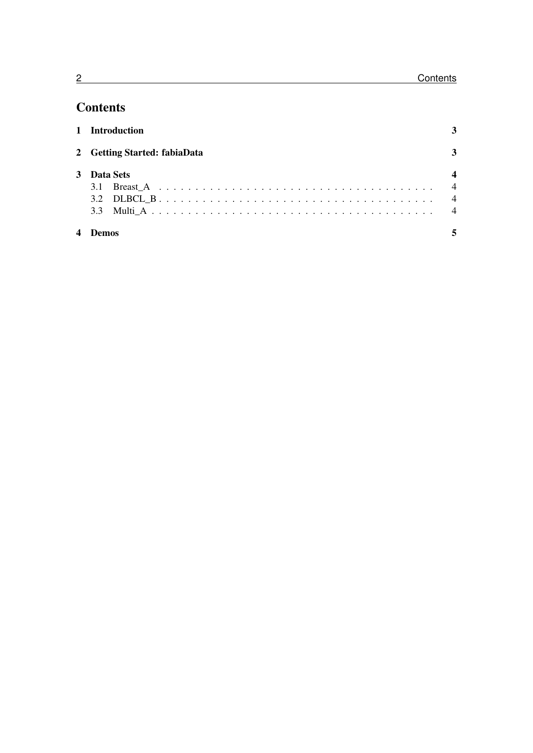# **Contents**

|   | 1 Introduction               |   |
|---|------------------------------|---|
|   | 2 Getting Started: fabiaData | 3 |
|   | 3 Data Sets                  |   |
|   |                              |   |
| 4 |                              |   |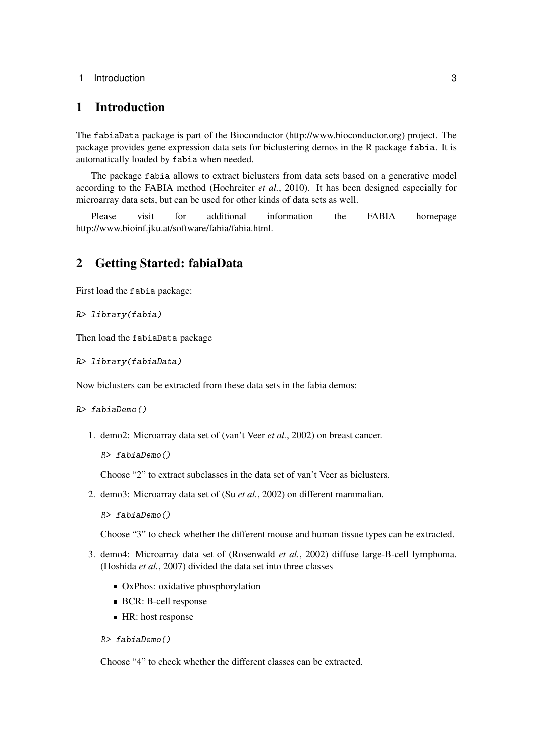## <span id="page-2-0"></span>1 Introduction

The fabiaData package is part of the Bioconductor [\(http://www.bioconductor.org\)](http://www.bioconductor.org) project. The package provides gene expression data sets for biclustering demos in the R package fabia. It is automatically loaded by fabia when needed.

The package fabia allows to extract biclusters from data sets based on a generative model according to the FABIA method [\(Hochreiter](#page-15-0) *et al.*, [2010\)](#page-15-0). It has been designed especially for microarray data sets, but can be used for other kinds of data sets as well.

Please visit for additional information the FABIA homepage [http://www.bioinf.jku.at/software/fabia/fabia.html.](http://www.bioinf.jku.at/software/fabia/fabia.html)

### <span id="page-2-1"></span>2 Getting Started: fabiaData

First load the fabia package:

R> library(fabia)

Then load the fabiaData package

R> library(fabiaData)

Now biclusters can be extracted from these data sets in the fabia demos:

R> fabiaDemo()

1. demo2: Microarray data set of [\(van't Veer](#page-15-1) *et al.*, [2002\)](#page-15-1) on breast cancer.

```
R> fabiaDemo()
```
Choose "2" to extract subclasses in the data set of van't Veer as biclusters.

2. demo3: Microarray data set of (Su *[et al.](#page-15-2)*, [2002\)](#page-15-2) on different mammalian.

```
R> fabiaDemo()
```
Choose "3" to check whether the different mouse and human tissue types can be extracted.

- 3. demo4: Microarray data set of [\(Rosenwald](#page-15-3) *et al.*, [2002\)](#page-15-3) diffuse large-B-cell lymphoma. [\(Hoshida](#page-15-4) *et al.*, [2007\)](#page-15-4) divided the data set into three classes
	- OxPhos: oxidative phosphorylation
	- **BCR: B-cell response**
	- HR: host response

```
R> fabiaDemo()
```
Choose "4" to check whether the different classes can be extracted.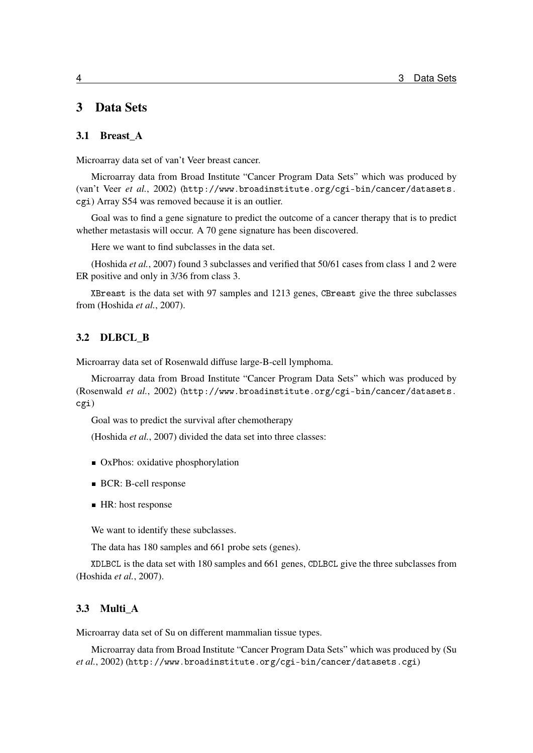# <span id="page-3-0"></span>3 Data Sets

#### <span id="page-3-1"></span>3.1 Breast\_A

Microarray data set of van't Veer breast cancer.

Microarray data from Broad Institute "Cancer Program Data Sets" which was produced by [\(van't Veer](#page-15-1) *et al.*, [2002\)](#page-15-1) ([http://www.broadinstitute.org/cgi-bin/cancer/datasets.](http://www.broadinstitute.org/cgi-bin/cancer/datasets.cgi) [cgi](http://www.broadinstitute.org/cgi-bin/cancer/datasets.cgi)) Array S54 was removed because it is an outlier.

Goal was to find a gene signature to predict the outcome of a cancer therapy that is to predict whether metastasis will occur. A 70 gene signature has been discovered.

Here we want to find subclasses in the data set.

[\(Hoshida](#page-15-4) *et al.*, [2007\)](#page-15-4) found 3 subclasses and verified that 50/61 cases from class 1 and 2 were ER positive and only in 3/36 from class 3.

XBreast is the data set with 97 samples and 1213 genes, CBreast give the three subclasses from [\(Hoshida](#page-15-4) *et al.*, [2007\)](#page-15-4).

#### <span id="page-3-2"></span>3.2 DLBCL\_B

Microarray data set of Rosenwald diffuse large-B-cell lymphoma.

Microarray data from Broad Institute "Cancer Program Data Sets" which was produced by [\(Rosenwald](#page-15-3) *et al.*, [2002\)](#page-15-3) ([http://www.broadinstitute.org/cgi-bin/cancer/datasets.](http://www.broadinstitute.org/cgi-bin/cancer/datasets.cgi) [cgi](http://www.broadinstitute.org/cgi-bin/cancer/datasets.cgi))

Goal was to predict the survival after chemotherapy

[\(Hoshida](#page-15-4) *et al.*, [2007\)](#page-15-4) divided the data set into three classes:

- OxPhos: oxidative phosphorylation
- **BCR: B-cell response**
- HR: host response

We want to identify these subclasses.

The data has 180 samples and 661 probe sets (genes).

XDLBCL is the data set with 180 samples and 661 genes, CDLBCL give the three subclasses from [\(Hoshida](#page-15-4) *et al.*, [2007\)](#page-15-4).

#### <span id="page-3-3"></span>3.3 Multi\_A

Microarray data set of Su on different mammalian tissue types.

Microarray data from Broad Institute "Cancer Program Data Sets" which was produced by [\(Su](#page-15-2) *[et al.](#page-15-2)*, [2002\)](#page-15-2) (<http://www.broadinstitute.org/cgi-bin/cancer/datasets.cgi>)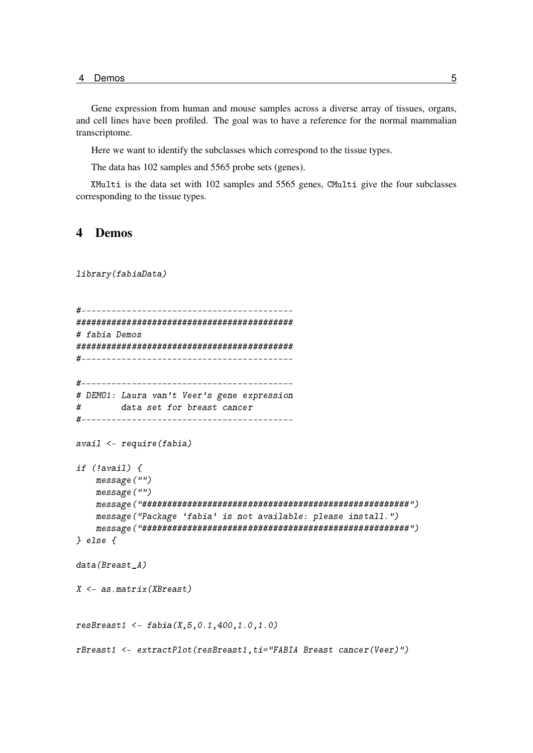4 Demos 5

Gene expression from human and mouse samples across a diverse array of tissues, organs, and cell lines have been profiled. The goal was to have a reference for the normal mammalian transcriptome.

Here we want to identify the subclasses which correspond to the tissue types.

The data has 102 samples and 5565 probe sets (genes).

XMulti is the data set with 102 samples and 5565 genes, CMulti give the four subclasses corresponding to the tissue types.

### <span id="page-4-0"></span>4 Demos

library(fabiaData)

```
#------------------------------------------
###########################################
# fabia Demos
###########################################
#------------------------------------------
#------------------------------------------
# DEMO1: Laura van't Veer's gene expression
# data set for breast cancer
#------------------------------------------
avail <- require(fabia)
if (!avail) {
    message("")
    message("")
    message("#####################################################")
    message("Package 'fabia' is not available: please install.")
    message("#####################################################")
} else {
data(Breast A)
X <- as.matrix(XBreast)
resBreat1 < - fabia(X, 5, 0.1, 400, 1.0, 1.0)rBreast1 <- extractPlot(resBreast1,ti="FABIA Breast cancer(Veer)")
```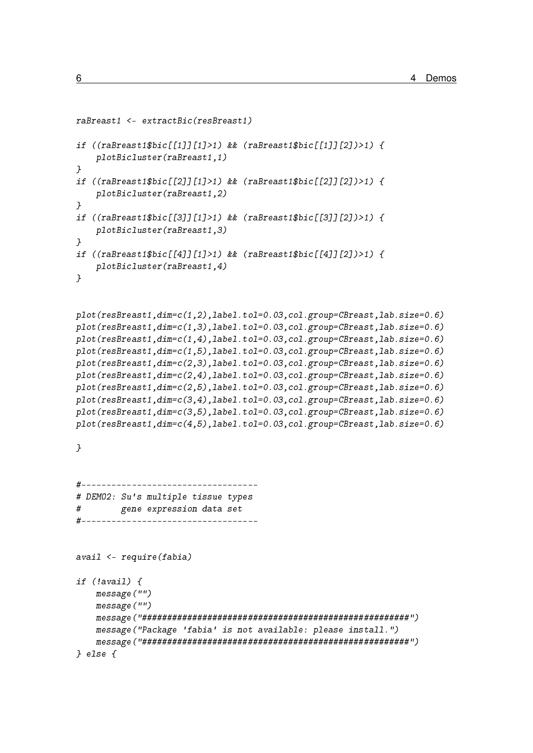```
raBreast1 <- extractBic(resBreast1)
if ((rabreak1fbic[[1][1]/1)) && (rabreak1fbic[[1][2])/1) {
    plotBicluster(raBreast1,1)
}
if ((raBreast1$bic[[2]][1]>1) && (raBreast1$bic[[2]][2])>1) {
    plotBicluster(raBreast1,2)
}
if ((raBreast1$bic[[3]][1]>1) && (raBreast1$bic[[3]][2])>1) {
    plotBicluster(raBreast1,3)
}
if ((raBreast1$bic[[4]][1]>1) && (raBreast1$bic[[4]][2])>1) {
    plotBicluster(raBreast1,4)
}
plot(resBreast1,dim=c(1,2),label.tol=0.03,col.group=CBreast,lab.size=0.6)
plot(resBreast1,dim=c(1,3),label.tol=0.03,col.group=CBreast,lab.size=0.6)
plot(resBreast1,dim=c(1,4),label.tol=0.03,col.group=CBreast,lab.size=0.6)
plot(resBreast1,dim=c(1,5),label.tol=0.03,col.group=CBreast,lab.size=0.6)
plot(resBreast1,dim=c(2,3),label.tol=0.03,col.group=CBreast,lab.size=0.6)
plot(resBreast1,dim=c(2,4),label.tol=0.03,col.group=CBreast,lab.size=0.6)
plot(resBreast1,dim=c(2,5),label.tol=0.03,col.group=CBreast,lab.size=0.6)
plot(resBreast1,dim=c(3,4),label.tol=0.03,col.group=CBreast,lab.size=0.6)
plot(resBreast1,dim=c(3,5),label.tol=0.03,col.group=CBreast,lab.size=0.6)
plot(resBreast1,dim=c(4,5),label.tol=0.03,col.group=CBreast,lab.size=0.6)
}
#-----------------------------------
# DEMO2: Su's multiple tissue types
# gene expression data set
#-----------------------------------
avail <- require(fabia)
if (!avail) {
    message("")
    message("")
    message("#####################################################")
    message("Package 'fabia' is not available: please install.")
    message("#####################################################")
} else {
```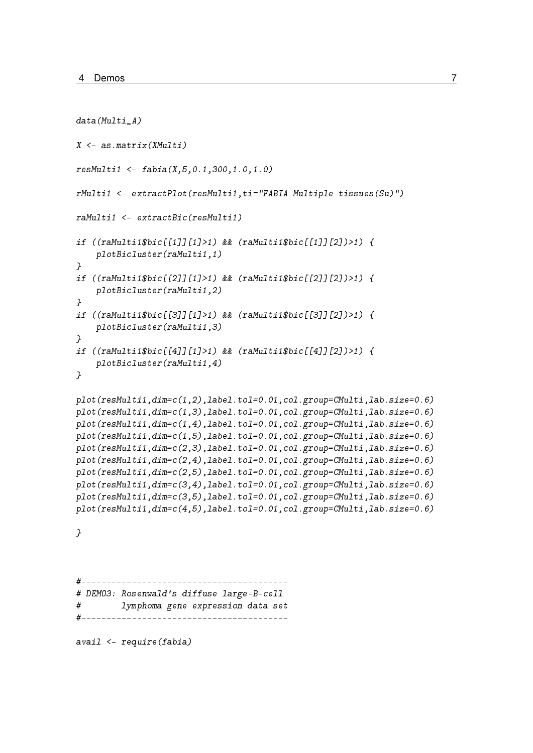```
data(Multi A)
X <- as.matrix(XMulti)
resMulti1 <- fabia(X,5,0.1,300,1.0,1.0)
rMulti1 <- extractPlot(resMulti1,ti="FABIA Multiple tissues(Su)")
raMulti1 <- extractBic(resMulti1)
if ((raMulti1$bic[[1]][1]>1) && (raMulti1$bic[[1]][2])>1) {
    plotBicluster(raMulti1,1)
}
if ((raMulti1$bic[[2]][1]>1) && (raMulti1$bic[[2]][2])>1) {
    plotBicluster(raMulti1,2)
}
if ((raMulti1$bic[[3]][1]>1) && (raMulti1$bic[[3]][2])>1) {
    plotBicluster(raMulti1,3)
}
if ((raMulti1$bic[[4]][1]>1) && (raMulti1$bic[[4]][2])>1) {
    plotBicluster(raMulti1,4)
}
plot(resMulti1,dim=c(1,2),label.tol=0.01,col.group=CMulti,lab.size=0.6)
plot(resMulti1,dim=c(1,3),label.tol=0.01,col.group=CMulti,lab.size=0.6)
plot(resMulti1,dim=c(1,4),label.tol=0.01,col.group=CMulti,lab.size=0.6)
plot(resMulti1,dim=c(1,5),label.tol=0.01,col.group=CMulti,lab.size=0.6)
plot(resMulti1,dim=c(2,3),label.tol=0.01,col.group=CMulti,lab.size=0.6)
plot(resMulti1,dim=c(2,4),label.tol=0.01,col.group=CMulti,lab.size=0.6)
plot(resMulti1,dim=c(2,5),label.tol=0.01,col.group=CMulti,lab.size=0.6)
plot(resMulti1,dim=c(3,4),label.tol=0.01,col.group=CMulti,lab.size=0.6)
plot(resMulti1,dim=c(3,5),label.tol=0.01,col.group=CMulti,lab.size=0.6)
plot(resMulti1,dim=c(4,5),label.tol=0.01,col.group=CMulti,lab.size=0.6)
```
}

#----------------------------------------- # DEMO3: Rosenwald's diffuse large-B-cell # lymphoma gene expression data set #-----------------------------------------

avail <- require(fabia)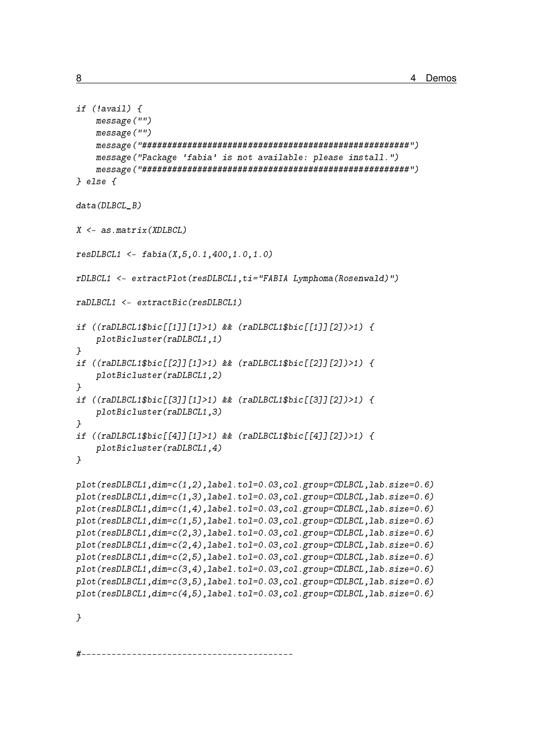```
if (lavail) {
    message("")message("")message("Package 'fabia' is not available: please install.")
    } else f
data(DLBCL B)X \leftarrow as.max(XDLBCL)resDLECL1 \leq false(1, 5, 0.1, 400, 1.0, 1.0)rDLBCL1 <- extractPlot(resDLBCL1, ti="FABIA Lymphoma(Rosenwald)")
raDLBCL1 <- extractBic(resDLBCL1)
if ((r\text{aDLECL1\$bic[[1][1]/1>1)) & (r\text{aDLECL1\$bic[[1][2]/>1}) {
    plotBicluster(raDLBCL1,1)
\overline{ }if ((\text{r}\text{a}D\text{L}\text{B}CL1\$ \text{bic}[[2]][[1]\text{>1}) & (\text{r}\text{a}D\text{L}\text{B}CL1\$ \text{bic}[[2]][[2])\text{>1}) {
    plotBicluster(raDLBCL1,2)
\overline{\phantom{a}}if ((raDLBCL1$bic[577712>1) & (raDLBCL1$bic[57772])>1)plotBicluster(raDLBCL1,3)
\mathcal{F}if ((\text{r}\text{a}D\text{L}\text{B}CL1\$ \text{bic}[[4]][1]\text{>1}) && (\text{r}\text{a}D\text{L}\text{B}CL1\$ \text{bic}[[4]][2])\text{>1}) {
    plotBicluster(raDLBCL1,4)
\overline{\phantom{a}}plot(resDLECL1, dim=c(1,2), label.tol=0.03, col.group=CDLECL, lab.size=0.6)plot(resDLECL1, dim=c(1,3), label.tol=0.03, col.group=CDLECL, lab.size=0.6)plot(resDLECL1, dim=c(1,4), label. tol=0.03, col.group=CDLECL, lab.size=0.6)plot(resDLECL1, dim=c(1,5), label. tol=0.03, col.group=CDLECL, lab.size=0.6)plot(resDLBCL1, dim=c(2,3), label.tol=0.03, col.group=CDLBCL, lab.size=0.6)
plot(resDLECL1, dim=c(2,4), label.tol=0.03, col.group=CDLECL, lab.size=0.6)plot(resDLECL1, dim=c(2,5), label.tol=0.03, col.group=CDLECL, lab.size=0.6)plot(resDLECL1, dim=c(3,4), label. tol=0.03, col.group=CDLECL, lab.size=0.6)plot(resDLECL1, dim=c(3,5), label. tol=0.03, col.group=CDLECL, lab.size=0.6)plot(resDLECL1, dim=c(4,5), label. tol=0.03, col.group=CDLECL, lab.size=0.6)
```
 $\mathcal{F}$ 

8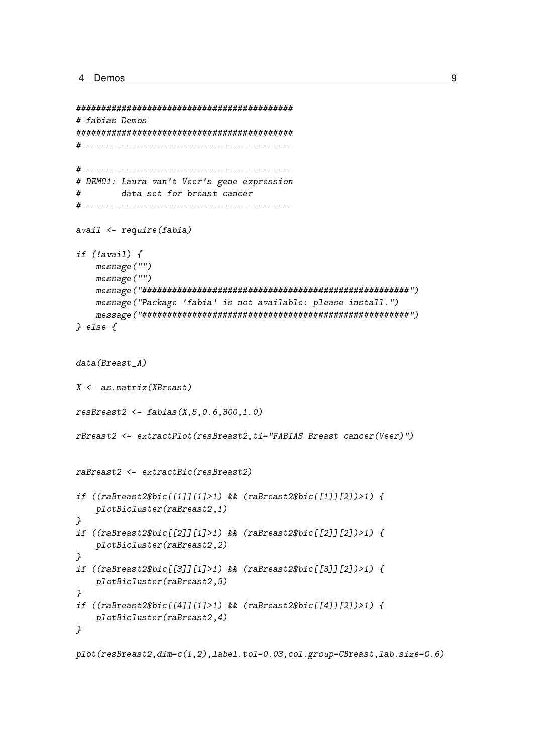```
# fabias Demos
# DEM01: Laura van't Veer's gene expression
       data set for breast cancer
Havail \leftarrow require(fabia)if (lavail) {
   message("")
   message("")
    message("Package 'fabia' is not available: please install.")
    } else \{data(Breatest_A)X \leq -a s \cdot matrix(XBreat)resBreat2 < - fabis(X, 5, 0.6, 300, 1.0)rBreast2 <- extractPlot(resBreast2, ti="FABIAS Breast cancer(Veer)")
raBreast2 <- extractBic(resBreast2)
if ((raBreat2$bic[[1][1]/1)>1) & (raBreat2$bic[[1][2])/1) {
    plotBicluster(raBreast2,1)
\mathcal{L}if ((r_1, r_2, r_3), (r_2, r_4, r_5), (r_3, r_4), (r_4, r_5, r_6), (r_4, r_5, r_6), (r_5, r_6, r_7, r_7, r_8), (r_6, r_7, r_8, r_9, r_1, r_1, r_1, r_2, r_1, r_1, r_2, r_3, r_4, r_5, r_6, r_7, r_7, r_8, r_9, r_1, r_1, r_2, r_1, r_2, r_3, r_4, r_5, r_6, r_7, r_7, r_8, r_9, r_1, r_plotBicluster(raBreast2,2)
\mathbf{r}if ((rafreast2$bic[[3]][1]>1) & (rafreast2$bic[[3]][2])>1) {
    plotBicluster(raBreast2,3)
\mathcal{F}if ((rafreast2$bic[[4]][1]>1) & (rafreast2$bic[[4]][2])>1) {
    plotBicluster(raBreast2,4)
\mathcal{F}
```
 $plot(resBreat2, dim=c(1,2), label. tol=0.03, col.group=CBreat, lab.size=0.6)$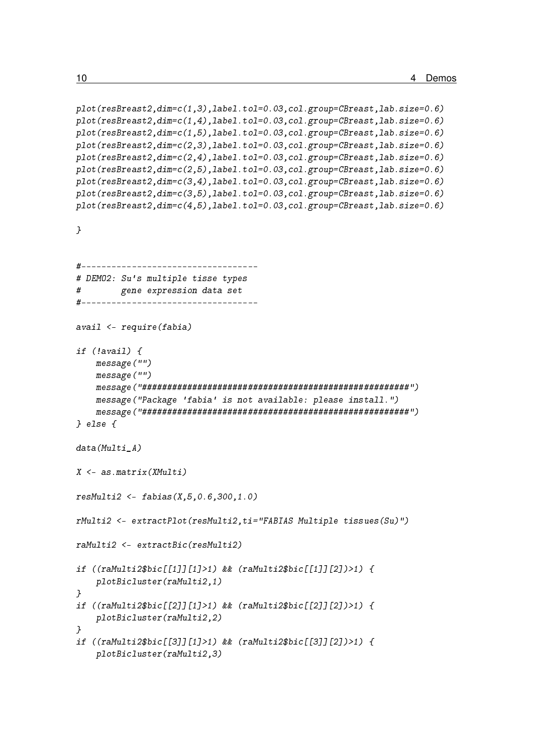```
plot(resBreast2,dim=c(1,3),label.tol=0.03,col.group=CBreast,lab.size=0.6)
plot(resBreast2,dim=c(1,4),label.tol=0.03,col.group=CBreast,lab.size=0.6)
plot(resBreast2,dim=c(1,5),label.tol=0.03,col.group=CBreast,lab.size=0.6)
plot(resBreast2,dim=c(2,3),label.tol=0.03,col.group=CBreast,lab.size=0.6)
plot(resBreast2,dim=c(2,4),label.tol=0.03,col.group=CBreast,lab.size=0.6)
plot(resBreast2,dim=c(2,5),label.tol=0.03,col.group=CBreast,lab.size=0.6)
plot(resBreast2,dim=c(3,4),label.tol=0.03,col.group=CBreast,lab.size=0.6)
plot(resBreast2,dim=c(3,5),label.tol=0.03,col.group=CBreast,lab.size=0.6)
plot(resBreast2,dim=c(4,5),label.tol=0.03,col.group=CBreast,lab.size=0.6)
}
#-----------------------------------
# DEMO2: Su's multiple tisse types
# gene expression data set
#-----------------------------------
avail <- require(fabia)
if (!avail) {
    message("")
    message("")
    message("#####################################################")
    message("Package 'fabia' is not available: please install.")
    message("#####################################################")
} else {
data(Multi_A)
X <- as.matrix(XMulti)
resMulti2 < -fabias(X, 5, 0.6, 300, 1.0)rMulti2 <- extractPlot(resMulti2,ti="FABIAS Multiple tissues(Su)")
raMulti2 <- extractBic(resMulti2)
if ((raMulti2$bic[[1]][1]>1) && (raMulti2$bic[[1]][2])>1) {
    plotBicluster(raMulti2,1)
}
if ((raMulti2$bic[[2]][1]>1) && (raMulti2$bic[[2]][2])>1) {
    plotBicluster(raMulti2,2)
}
if ((raMulti2$bic[[3]][1]>1) && (raMulti2$bic[[3]][2])>1) {
    plotBicluster(raMulti2,3)
```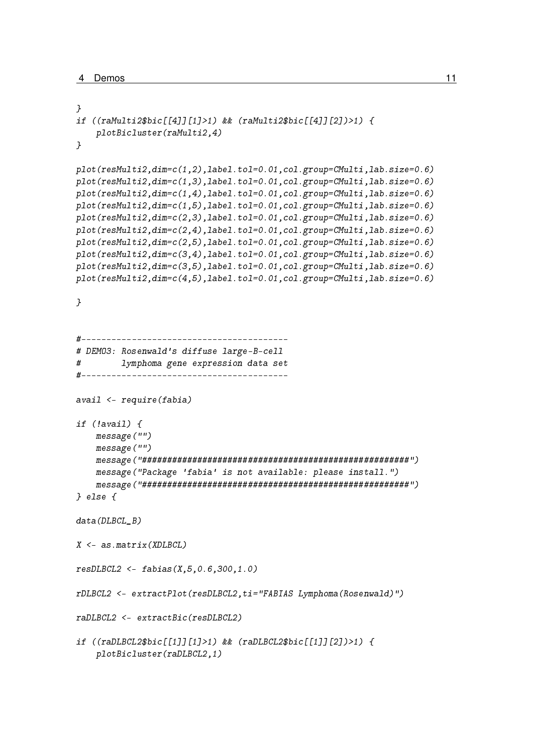```
}
if ((raMulti2$bic[[4]][1]>1) && (raMulti2$bic[[4]][2])>1) {
    plotBicluster(raMulti2,4)
}
plot(resMulti2,dim=c(1,2),label.tol=0.01,col.group=CMulti,lab.size=0.6)
plot(resMulti2,dim=c(1,3),label.tol=0.01,col.group=CMulti,lab.size=0.6)
plot(resMulti2,dim=c(1,4),label.tol=0.01,col.group=CMulti,lab.size=0.6)
plot(resMulti2,dim=c(1,5),label.tol=0.01,col.group=CMulti,lab.size=0.6)
plot(resMulti2,dim=c(2,3),label.tol=0.01,col.group=CMulti,lab.size=0.6)
plot(resMulti2,dim=c(2,4),label.tol=0.01,col.group=CMulti,lab.size=0.6)
plot(resMulti2,dim=c(2,5),label.tol=0.01,col.group=CMulti,lab.size=0.6)
plot(resMulti2,dim=c(3,4),label.tol=0.01,col.group=CMulti,lab.size=0.6)
plot(resMulti2,dim=c(3,5),label.tol=0.01,col.group=CMulti,lab.size=0.6)
plot(resMulti2,dim=c(4,5),label.tol=0.01,col.group=CMulti,lab.size=0.6)
}
#-----------------------------------------
# DEMO3: Rosenwald's diffuse large-B-cell
# lymphoma gene expression data set
#-----------------------------------------
avail <- require(fabia)
if (!avail) {
    message("")
    message("")
    message("#####################################################")
    message("Package 'fabia' is not available: please install.")
    message("#####################################################")
} else {
data(DLBCL_B)
X \leq -a s \cdot matrix(XDI.BCI.)resDLECL2 \leq false(X, 5, 0.6, 300, 1.0)rDLBCL2 <- extractPlot(resDLBCL2,ti="FABIAS Lymphoma(Rosenwald)")
raDLBCL2 <- extractBic(resDLBCL2)
if ((raDLBCL2$bic[[1]][1]>1) && (raDLBCL2$bic[[1]][2])>1) {
    plotBicluster(raDLBCL2,1)
```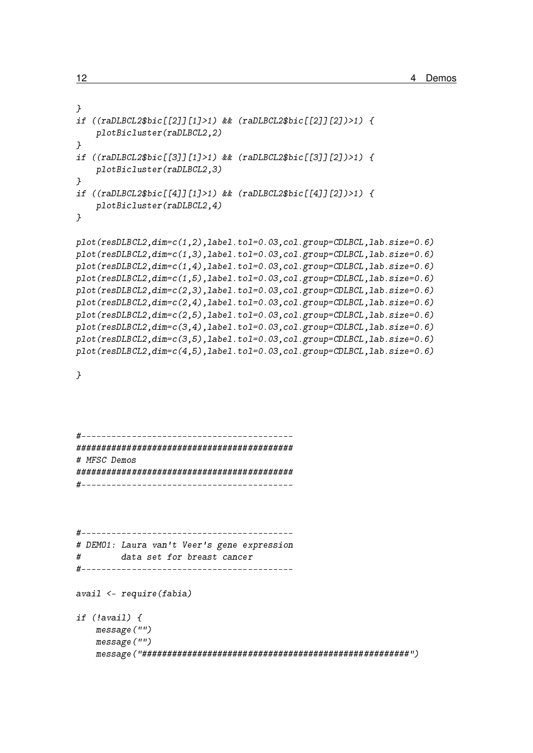```
}
if ((raDLBCL2$bic[[2]][1]>1) && (raDLBCL2$bic[[2]][2])>1) {
    plotBicluster(raDLBCL2,2)
}
if ((raDLBCL2$bic[[3]][1]>1) && (raDLBCL2$bic[[3]][2])>1) {
    plotBicluster(raDLBCL2,3)
}
if ((raDLBCL2$bic[[4]][1]>1) && (raDLBCL2$bic[[4]][2])>1) {
    plotBicluster(raDLBCL2,4)
}
plot(resDLBCL2,dim=c(1,2),label.tol=0.03,col.group=CDLBCL,lab.size=0.6)
plot(resDLBCL2,dim=c(1,3),label.tol=0.03,col.group=CDLBCL,lab.size=0.6)
plot(resDLBCL2,dim=c(1,4),label.tol=0.03,col.group=CDLBCL,lab.size=0.6)
plot(resDLBCL2,dim=c(1,5),label.tol=0.03,col.group=CDLBCL,lab.size=0.6)
plot(resDLBCL2,dim=c(2,3),label.tol=0.03,col.group=CDLBCL,lab.size=0.6)
plot(resDLBCL2,dim=c(2,4),label.tol=0.03,col.group=CDLBCL,lab.size=0.6)
plot(resDLBCL2,dim=c(2,5),label.tol=0.03,col.group=CDLBCL,lab.size=0.6)
plot(resDLBCL2,dim=c(3,4),label.tol=0.03,col.group=CDLBCL,lab.size=0.6)
plot(resDLBCL2,dim=c(3,5),label.tol=0.03,col.group=CDLBCL,lab.size=0.6)
plot(resDLBCL2,dim=c(4,5),label.tol=0.03,col.group=CDLBCL,lab.size=0.6)
}
#------------------------------------------
###########################################
# MFSC Demos
###########################################
#------------------------------------------
```
#------------------------------------------ # DEMO1: Laura van't Veer's gene expression # data set for breast cancer #------------------------------------------

avail <- require(fabia)

if (!avail) { message("") message("") message("#####################################################")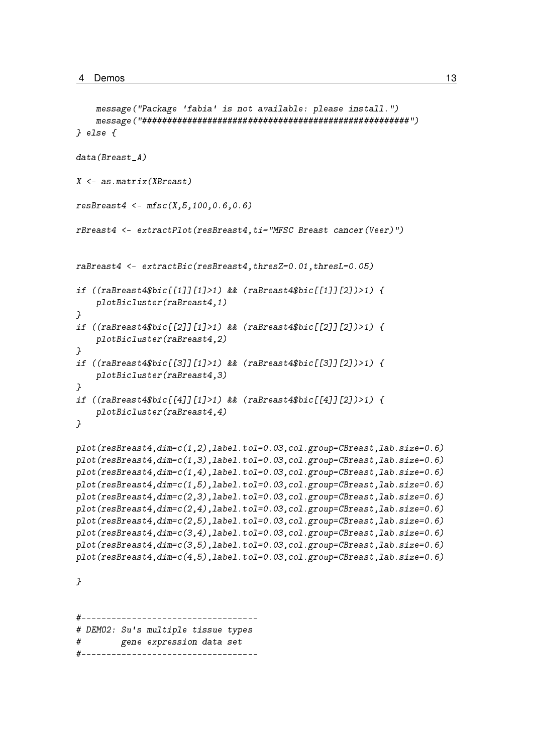```
message("Package 'fabia' is not available: please install.")
    message("#####################################################")
} else {
data(Breast A)
X <- as.matrix(XBreast)
resBreat4 \leftarrow mfsc(X, 5, 100, 0.6, 0.6)rBreast4 <- extractPlot(resBreast4,ti="MFSC Breast cancer(Veer)")
raBreast4 <- extractBic(resBreast4,thresZ=0.01,thresL=0.05)
if ((raBreast4$bic[[1]][1]>1) && (raBreast4$bic[[1]][2])>1) {
    plotBicluster(raBreast4,1)
}
if ((raBreast4$bic[[2]][1]>1) && (raBreast4$bic[[2]][2])>1) {
    plotBicluster(raBreast4,2)
}
if ((raBreast4$bic[[3]][1]>1) && (raBreast4$bic[[3]][2])>1) {
    plotBicluster(raBreast4,3)
}
if ((raBreast4$bic[[4]][1]>1) && (raBreast4$bic[[4]][2])>1) {
    plotBicluster(raBreast4,4)
}
plot(resBreast4,dim=c(1,2),label.tol=0.03,col.group=CBreast,lab.size=0.6)
plot(resBreast4,dim=c(1,3),label.tol=0.03,col.group=CBreast,lab.size=0.6)
plot(resBreast4,dim=c(1,4),label.tol=0.03,col.group=CBreast,lab.size=0.6)
plot(resBreast4,dim=c(1,5),label.tol=0.03,col.group=CBreast,lab.size=0.6)
plot(resBreast4,dim=c(2,3),label.tol=0.03,col.group=CBreast,lab.size=0.6)
plot(resBreast4,dim=c(2,4),label.tol=0.03,col.group=CBreast,lab.size=0.6)
plot(resBreast4,dim=c(2,5),label.tol=0.03,col.group=CBreast,lab.size=0.6)
plot(resBreast4,dim=c(3,4),label.tol=0.03,col.group=CBreast,lab.size=0.6)
plot(resBreast4,dim=c(3,5),label.tol=0.03,col.group=CBreast,lab.size=0.6)
plot(resBreast4,dim=c(4,5),label.tol=0.03,col.group=CBreast,lab.size=0.6)
}
#-----------------------------------
# DEMO2: Su's multiple tissue types
# gene expression data set
#
```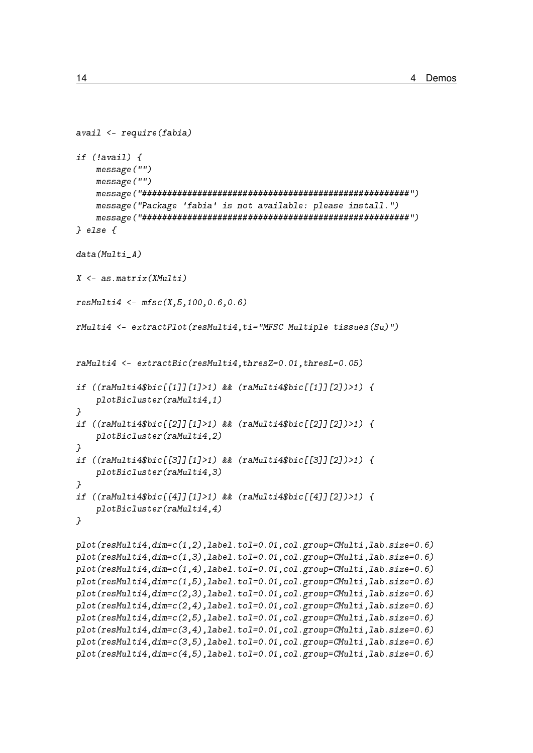```
avail \leftarrow require(fabia)if (lavail) {
    message("")
    message("")message("Package 'fabia' is not available: please install.")
    } else \{data(Multi A)X \leftarrow as.matrix(XMulti)resMulti4 \leftarrow mfsc(X, 5, 100, 0.6, 0.6)rMulti4 <- extractPlot(resMulti4, ti="MFSC Multiple tissues(Su)")
raMulti4 <- extractBic(resMulti4, thresZ=0.01, thresL=0.05)
if ((raMulti4$bic[[1]][1]>1) && (raMulti4$bic[[1]][2])>1) {
    plotBicluster(raMulti4,1)\mathcal{F}if ((\text{ramulti4\$bic[[2]][1]\>1) & (\text{ramulti4\$bic[[2]][2])\>1) {
    plotBicluster(raMulti4,2)\mathcal{F}if ((\text{radulti4\$bic[[3]][1]>1) \& ( \text{radulti4\$bic[[3]][2])>1 }) {
    plotBicluster(raMulti4,3)
\overline{1}if ((\text{ramulti4\$bic} \lceil \lceil 4 \rceil \rceil \lceil 1 \rceil > 1) & (\text{ramulti4\$bic} \lceil \lceil 4 \rceil \lceil 2 \rceil) > 1) {
    plotBicluster(raMulti4,4)\overline{1}plot(resMulti4, dim=c(1,2), label, tol=0.01, col, group=CMulti, lab, size=0.6)plot(resMulti4, dim=c(1,3), label. tol=0.01, col.cpreCMulti, lab. size=0.6)plot(resMulti4, dim=c(1,4), label. tol=0.01, col.group=CMulti, lab.size=0.6)plot(resMulti4, dim=c(1,5), label. tol=0.01, col.group=CMulti, lab.size=0.6)plot(resMulti4, dim=c(2,3), label. tol=0.01, col.group=CMulti, lab.size=0.6)plot(resMulti4, dim=c(2,4), label. tol=0.01, col.group=CMulti, lab.size=0.6)plot(resMulti4, dim=c(2,5), label.tol=0.01, col.group=CMulti, lab.size=0.6)
plot(resMulti4, dim=c(3,4), label.tol=0.01, col.group=CMulti, lab.size=0.6)plot(resMulti4, dim=c(3,5), label.tol=0.01, col.group=CMulti, lab.size=0.6)plot(resMulti4, dim=c(4,5), label. tol=0.01, col.group=CMulti, lab.size=0.6)
```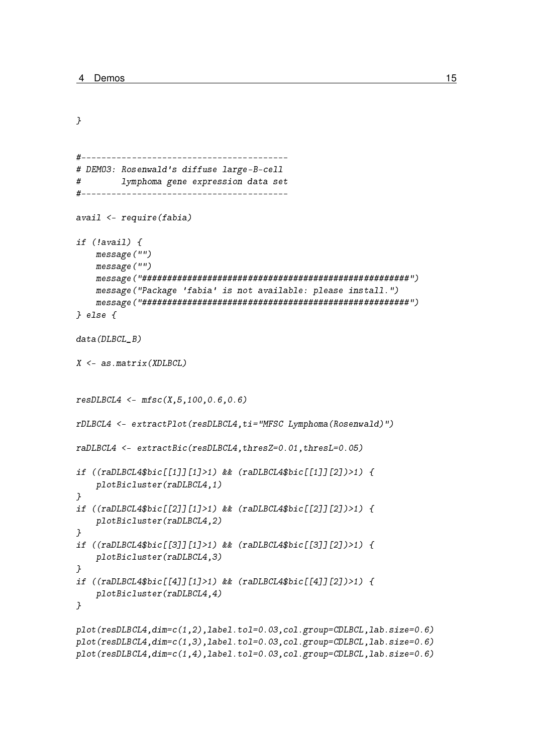```
\mathcal{F}# DEM03: Rosenwald's diffuse large-B-cell
#lymphoma gene expression data set
avail \leftarrow require(fabia)if (lavail) {
   message("")
   message("")message("Package 'fabia' is not available: please install.")
   } else \{data(DLBCL B)X \leftarrow as.max(XDLBCL)resDLECL4 \leq mfsc(X, 5, 100, 0.6, 0.6)rDLBCL4 <- extractPlot(resDLBCL4, ti="MFSC Lymphoma(Rosenwald)")
raDLBCL4 <- extractBic(resDLBCL4, thresZ=0.01, thresL=0.05)
if ((raDLBCL4$bic[[1]][1]>1) & & (raDLBCL4$bic[[1]][2])>1) {
   plotBicluster(raDLBCL4,1)
\mathbf{L}if ((raDLBCL4$bic[[2]][1]>1) & k k (raDLBCL4$bic[[2]][2])>1) {
   plotBicluster(raDLBCL4,2)
\overline{1}if ((raDLBCL4$bic[13][11]>1) & (raDLBCL4$bic[13][12])>1) {
   plotBicluster(raDLBCL4,3)
\mathcal{L}if ((\text{radLBCL4\$bic[[4]][1]>1) \& ( \text{radLBCL4\$bic[[4]][2])>1) { }plotBicluster(raDLBCL4,4)
\mathcal{F}plot(resDLBCL4, dim=c(1,2), label.tol=0.03, col.group=CDLBCL, lab.size=0.6)
plot(resDLBCL4, dim=c(1,3), label.tol=0.03, col.group=CDLBCL, lab.size=0.6)
plot(resDLECL4, dim=c(1,4), label.tol=0.03, col.group=CDLECL, lab.size=0.6)
```